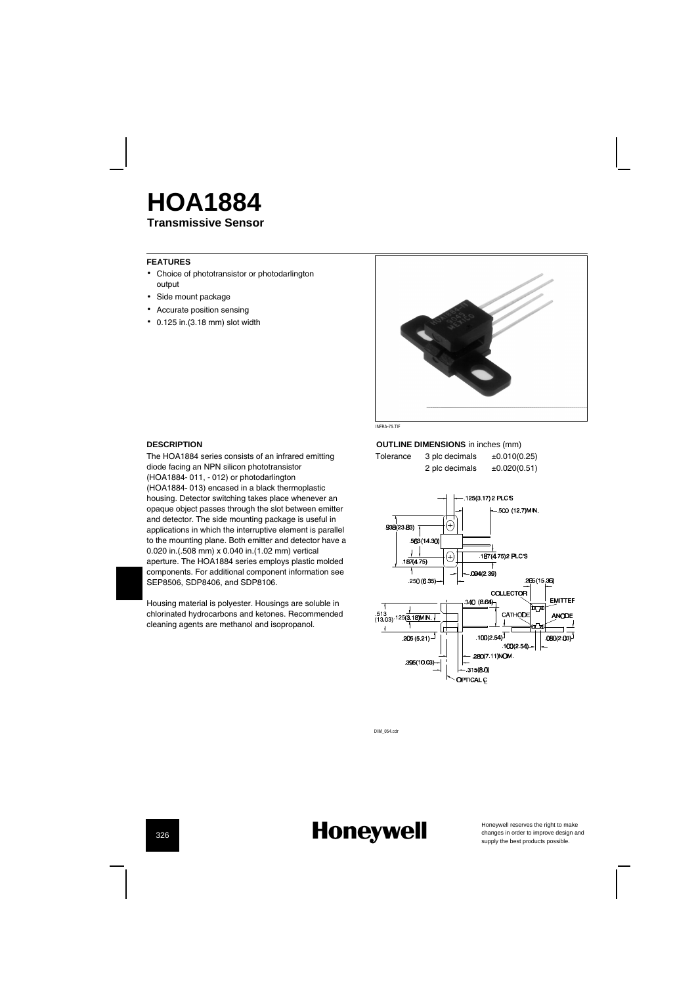### **Transmissive Sensor HOA1884**

**FEATURES**

- Choice of phototransistor or photodarlington output
- Side mount package
- Accurate position sensing
- 0.125 in.(3.18 mm) slot width



INFRA-75.TIF

#### **DESCRIPTION**

The HOA1884 series consists of an infrared emitting diode facing an NPN silicon phototransistor (HOA1884-011, -012) or photodarlington (HOA1884-013) encased in a black thermoplastic housing. Detector switching takes place whenever an opaque object passes through the slot between emitter and detector. The side mounting package is useful in applications in which the interruptive element is parallel to the mounting plane. Both emitter and detector have a 0.020 in.(.508 mm) x 0.040 in.(1.02 mm) vertical aperture. The HOA1884 series employs plastic molded

components. For additional component information see SEP8506, SDP8406, and SDP8106.

Housing material is polyester. Housings are soluble in chlorinated hydrocarbons and ketones. Recommended cleaning agents are methanol and isopropanol.

#### **OUTLINE DIMENSIONS** in inches (mm)

Tolerance 3 plc decimals  $\pm 0.010(0.25)$ <br>2 plc decimals  $\pm 0.020(0.51)$ 2 plc decimals



DIM\_054.cdr

## **Honeywell**

Honeywell reserves the right to make<br>changes in order to improve design and<br>supply the best products possible.

326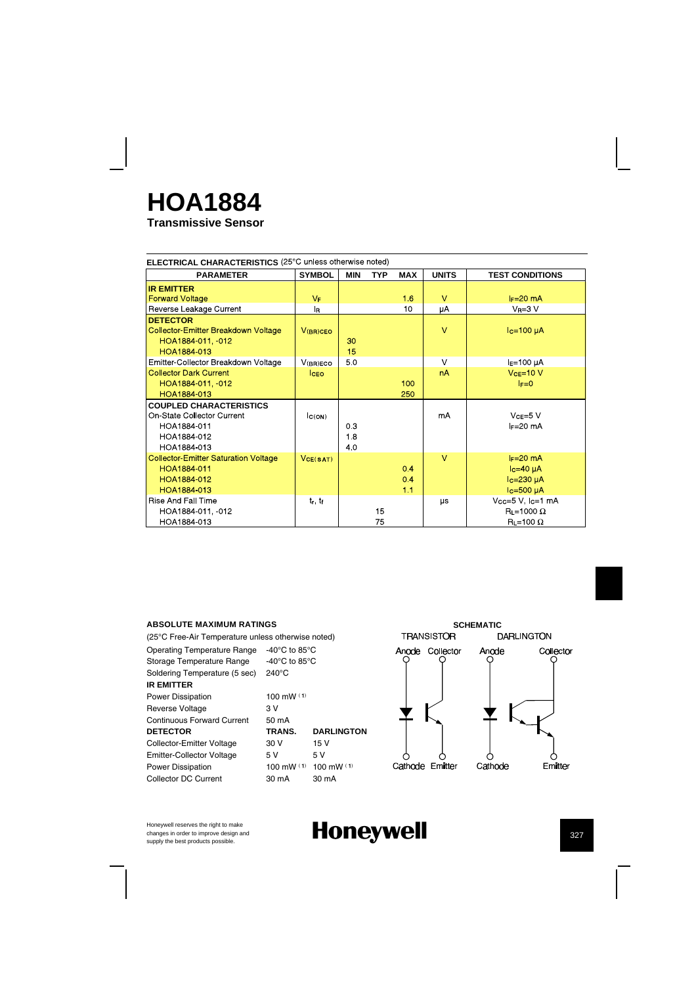## **Transmissive Sensor HOA1884**

| <b>ELECTRICAL CHARACTERISTICS</b> (25°C unless otherwise noted)                                           |                |                 |            |                  |              |                                                                      |
|-----------------------------------------------------------------------------------------------------------|----------------|-----------------|------------|------------------|--------------|----------------------------------------------------------------------|
| <b>PARAMETER</b>                                                                                          | <b>SYMBOL</b>  | <b>MIN</b>      | <b>TYP</b> | <b>MAX</b>       | <b>UNITS</b> | <b>TEST CONDITIONS</b>                                               |
| <b>IR EMITTER</b>                                                                                         |                |                 |            |                  |              |                                                                      |
| <b>Forward Voltage</b>                                                                                    | V <sub>F</sub> |                 |            | 16               | $\mathbf{V}$ | $I_F=20$ mA                                                          |
| Reverse Leakage Current                                                                                   | l <sub>R</sub> |                 |            | 10               | μA           | $V_R = 3 V$                                                          |
| <b>DETECTOR</b><br><b>Collector Emitter Breakdown Voltage</b><br>HOA1884-011, 012<br>HOA1884 013          | $V(BR)$ CEO    | 30<br>15        |            |                  | $\vee$       | $Ic=100\muA$                                                         |
| Emitter Collector Breakdown Voltage                                                                       | V(BR)ECO       | 50              |            |                  | $\vee$       | $IE=100 \mu A$                                                       |
| <b>Collector Dark Current</b><br>HOA1884-011, 012<br>HOA1884 013                                          | <b>CEO</b>     |                 |            | 100<br>250       | nA           | $VCE=10 V$<br>$F = 0$                                                |
| <b>COUPLED CHARACTERISTICS</b><br>On-State Collector Current<br>HOA1884-011<br>HOA1884-012<br>HOA1884-013 | C(ON)          | 0.3<br>18<br>40 |            |                  | mA           | $VCE=5 V$<br>$I = 20$ mA                                             |
| <b>Collector-Emitter Saturation Voltage</b><br>HOA1884-011<br>HOA1884-012<br>HOA1884-013                  | VCE(SAT)       |                 |            | 0.4<br>0.4<br>11 | $\vee$       | $I_F=20$ mA<br>$lc=40 \mu A$<br>$lc = 230 \mu A$<br>$lc = 500 \mu A$ |
| <b>Rise And Fall Time</b><br>HOA1884-011, 012<br>HOA1884 013                                              | $t_r$ , $t_f$  |                 | 15<br>75   |                  | μs           | $Vcc=5$ V, $lc=1$ mA<br>$R_L = 1000 \Omega$<br>$R_L = 100 \Omega$    |

#### **ABSOLUTE MAXIMUM RATINGS**

(25¡C Free-Air Temperature unless otherwise noted) Operating Temperature Range -40°C to 85°C<br>Storage Temperature Range -40°C to 85°C Storage Temperature Range Soldering Temperature (5 sec) 240°C **IR EMITTER** Power Dissipation 100 mW (1) Reverse Voltage 3V<br>Continuous Forward Current 50 mA Continuous Forward Current **DETECTOR TRANS. DARLINGTON**<br>
Collector-Emitter Voltage 30 V 15 V Collector-Emitter Voltage 30 V Emitter-Collector Voltage 5V 5V Power Dissipation  $100 \text{ mW}$  (1)  $100 \text{ mW}$  (1) Collector DC Current 30 mA 30 mA



Honeywell reserves the right to make changes in order to improve design and<br>supply the best products possible.

## Honeywell **Supply the best products** and  $\frac{1}{327}$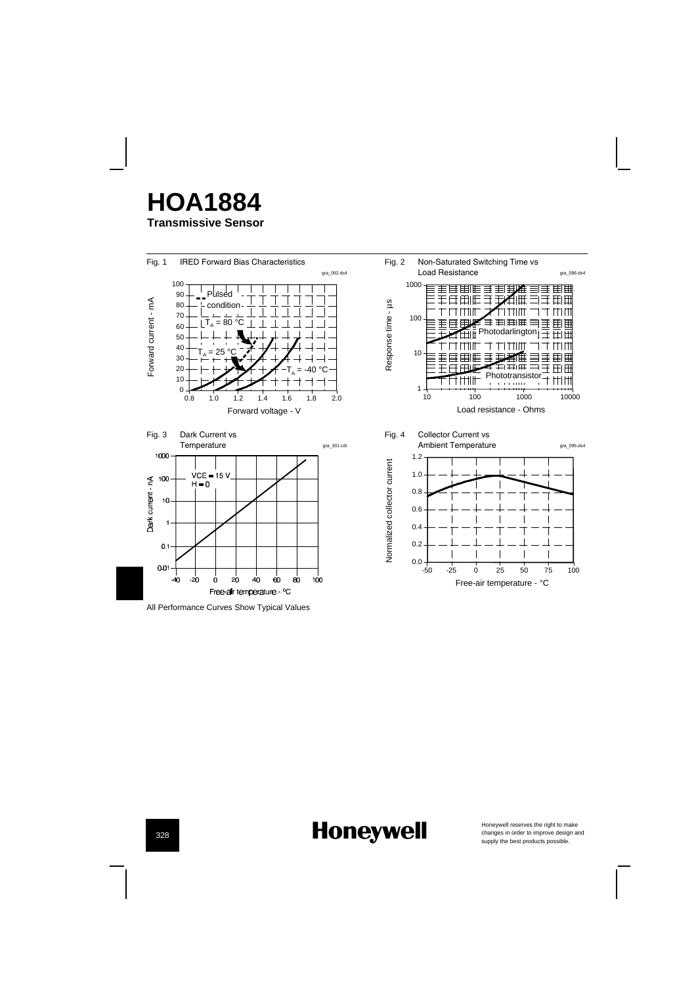## **Transmissive Sensor HOA1884**



# **Honeywell**

Honeywell reserves the right to make<br>changes in order to improve design and<br>supply the best products possible.

328